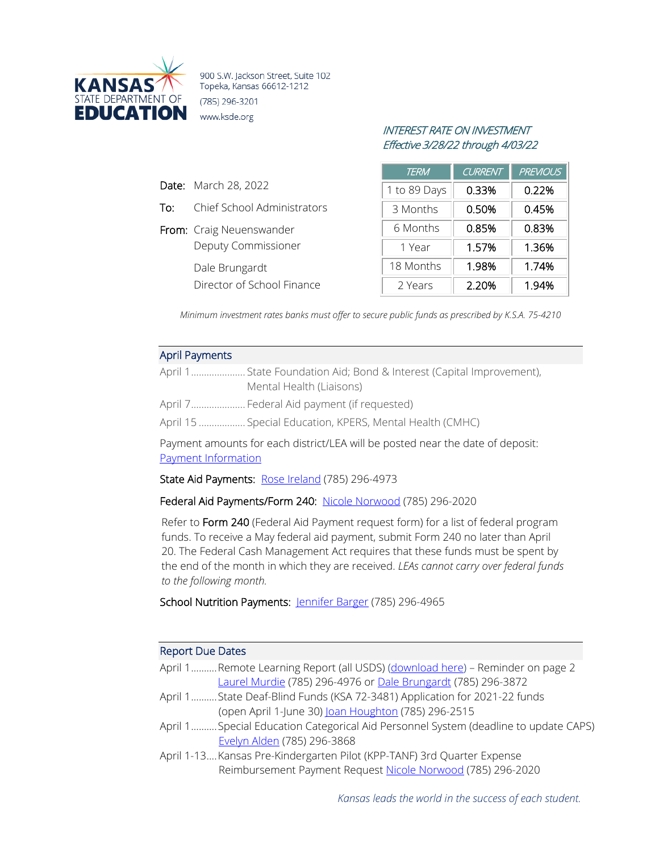

900 S.W. Jackson Street, Suite 102 Topeka, Kansas 66612-1212 (785) 296-3201 www.ksde.org

# INTEREST RATE ON INVESTMENT Effective 3/28/22 through 4/03/22

|     |                             | <b>TERM</b>  | <b>CURRENT</b> | <b>PREVIOUS</b> |
|-----|-----------------------------|--------------|----------------|-----------------|
|     | <b>Date:</b> March 28, 2022 | 1 to 89 Days | 0.33%          | 0.22%           |
| To: | Chief School Administrators | 3 Months     | 0.50%          | 0.45%           |
|     | From: Craig Neuenswander    | 6 Months     | 0.85%          | 0.83%           |
|     | <b>Deputy Commissioner</b>  | 1 Year       | 1.57%          | 1.36%           |
|     | Dale Brungardt              | 18 Months    | 1.98%          | 1.74%           |
|     | Director of School Finance  | 2 Years      | 2.20%          | 1.94%           |

*Minimum investment rates banks must offer to secure public funds as prescribed by K.S.A. 75-4210*

### April Payments

| April 1 State Foundation Aid; Bond & Interest (Capital Improvement), |
|----------------------------------------------------------------------|
| Mental Health (Liaisons)                                             |

- April 7..................... Federal Aid payment (if requested)
- April 15 .................. Special Education, KPERS, Mental Health (CMHC)

Payment amounts for each district/LEA will be posted near the date of deposit: [Payment Information](http://www.ksde.org/Agency/Fiscal-and-Administrative-Services/School-Finance/Payment-Information)

State Aid Payments: [Rose Ireland](mailto:rireland@ksde.org) (785) 296-4973

Federal Aid Payments/Form 240: [Nicole Norwood](mailto:nnorwood@ksde.org) (785) 296-2020

Refer to Form 240 (Federal Aid Payment request form) for a list of federal program funds. To receive a May federal aid payment, submit Form 240 no later than April 20. The Federal Cash Management Act requires that these funds must be spent by the end of the month in which they are received. *LEAs cannot carry over federal funds to the following month.*

School Nutrition Payments: [Jennifer Barger](mailto:jbarger@ksde.org) (785) 296-4965

## Report Due Dates

| April 1Remote Learning Report (all USDS) (download here) - Reminder on page 2 |  |
|-------------------------------------------------------------------------------|--|
| Laurel Murdie (785) 296-4976 or Dale Brungardt (785) 296-3872                 |  |

- April 1..........State Deaf-Blind Funds (KSA 72-3481) Application for 2021-22 funds (open April 1-June 30) [Joan Houghton](mailto:jhoughton@ksde.org) (785) 296-2515
- April 1..........Special Education Categorical Aid Personnel System (deadline to update CAPS) [Evelyn Alden](mailto:ealden@ksde.org) (785) 296-3868
- April 1-13....Kansas Pre-Kindergarten Pilot (KPP-TANF) 3rd Quarter Expense Reimbursement Payment Request [Nicole Norwood](mailto:nnorwood@ksde.org) (785) 296-2020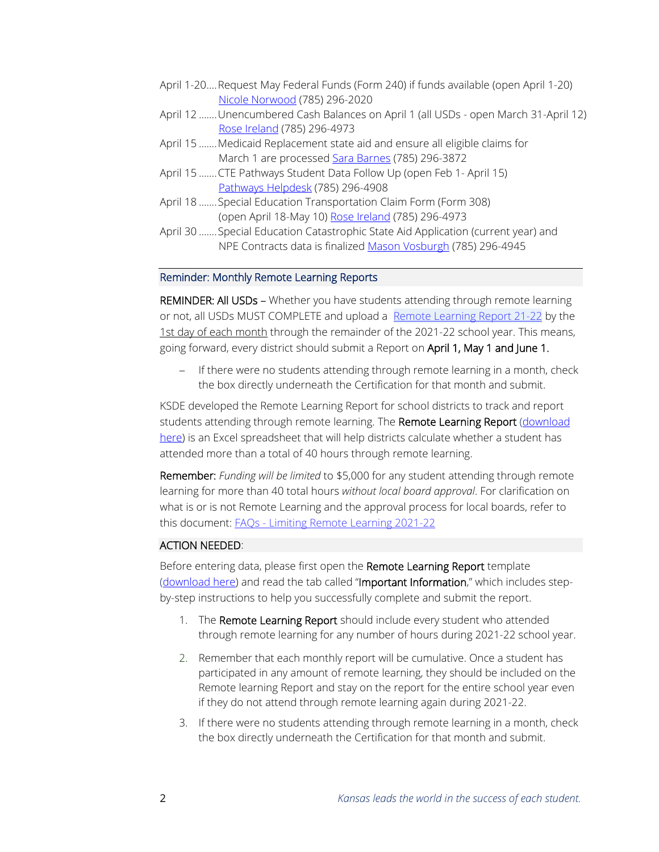- April 1-20....Request May Federal Funds (Form 240) if funds available (open April 1-20) [Nicole Norwood](mailto:nnorwood@ksde.org) (785) 296-2020
- April 12 .......Unencumbered Cash Balances on April 1 (all USDs open March 31-April 12) [Rose Ireland](mailto:rireland@ksde.org) (785) 296-4973
- April 15 ....... Medicaid Replacement state aid and ensure all eligible claims for March 1 are processed [Sara Barnes](mailto:sbarnes@ksde.org) (785) 296-3872
- April 15 .......CTE Pathways Student Data Follow Up (open Feb 1- April 15) [Pathways Helpdesk](mailto:PathwaysHelpDesk@ksde.org) (785) 296-4908
- April 18 .......Special Education Transportation Claim Form (Form 308) (open April 18-May 10) [Rose Ireland](mailto:rireland@ksde.org) (785) 296-4973
- April 30 .......Special Education Catastrophic State Aid Application (current year) and NPE Contracts data is finalize[d Mason Vosburgh](mailto:mvosburgh@ksde.org) (785) 296-4945

### Reminder: Monthly Remote Learning Reports

REMINDER: All USDs - Whether you have students attending through remote learning or not, all USDs MUST COMPLETE and upload a Remote [Learning](https://www.ksde.org/LinkClick.aspx?fileticket=v15G1CcHu-c%3d&tabid=319&portalid=0&mid=842) Report 21-22 by the 1st day of each month through the remainder of the 2021-22 school year. This means, going forward, every district should submit a Report on April 1, May 1 and June 1.

− If there were no students attending through remote learning in a month, check the box directly underneath the Certification for that month and submit.

KSDE developed the Remote Learning Report for school districts to track and report students attending through remote learning. The Remote Learning Report (download [here\)](https://www.ksde.org/LinkClick.aspx?fileticket=v15G1CcHu-c%3d&tabid=319&portalid=0&mid=842) is an Excel spreadsheet that will help districts calculate whether a student has attended more than a total of 40 hours through remote learning.

Remember: *Funding will be limited* to \$5,000 for any student attending through remote learning for more than 40 total hours *without local board approval*. For clarification on what is or is not Remote Learning and the approval process for local boards, refer to this document: FAQs - Limiting Remote [Learning](https://www.ksde.org/Portals/0/Auditing/FAQs%20-%20Limiting%20Remote%20Learning%202021-22.pdf?ver=2021-08-27-101227-117) 2021-22

#### ACTION NEEDED:

Before entering data, please first open the Remote Learning Report template [\(download here\)](https://www.ksde.org/LinkClick.aspx?fileticket=v15G1CcHu-c%3d&tabid=319&portalid=0&mid=842) and read the tab called "Important Information," which includes stepby-step instructions to help you successfully complete and submit the report.

- 1. The Remote Learning Report should include every student who attended through remote learning for any number of hours during 2021-22 school year.
- 2. Remember that each monthly report will be cumulative. Once a student has participated in any amount of remote learning, they should be included on the Remote learning Report and stay on the report for the entire school year even if they do not attend through remote learning again during 2021-22.
- 3. If there were no students attending through remote learning in a month, check the box directly underneath the Certification for that month and submit.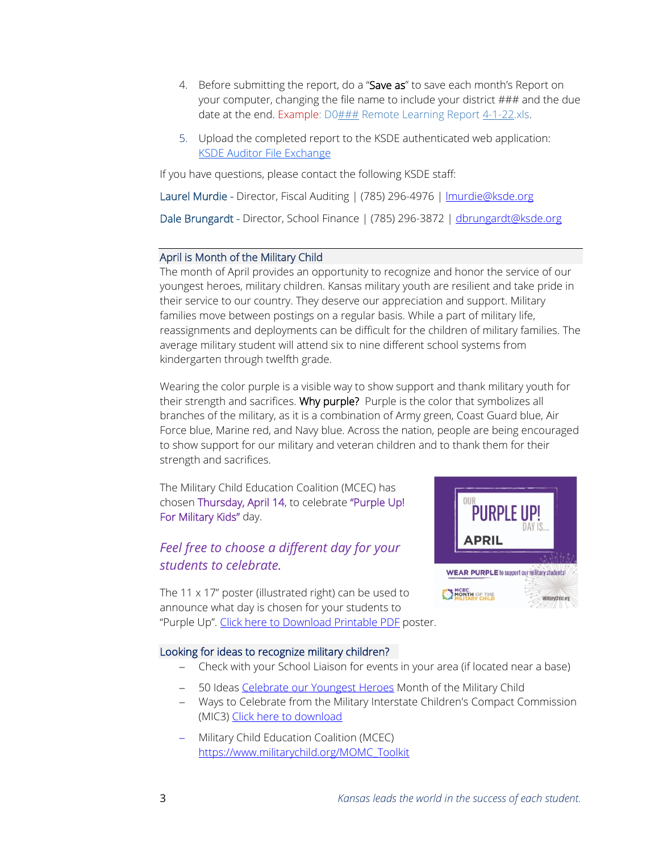- 4. Before submitting the report, do a "Save as" to save each month's Report on your computer, changing the file name to include your district ### and the due date at the end. Example:  $D0#H H$  Remote Learning Report  $4-1-22$ .xls.
- 5. Upload the completed report to the KSDE authenticated web application: [KSDE Auditor File Exchange](https://online.ksde.org/authentication/login.aspx)

If you have questions, please contact the following KSDE staff:

Laurel Murdie - Director, Fiscal Auditing | (785) 296-4976 | Imurdie@ksde.org

Dale Brungardt - Director, School Finance | (785) 296-3872 | [dbrungardt@ksde.org](mailto:dbrungardt@ksde.org)

# April is Month of the Military Child

The month of April provides an opportunity to recognize and honor the service of our youngest heroes, military children. Kansas military youth are resilient and take pride in their service to our country. They deserve our appreciation and support. Military families move between postings on a regular basis. While a part of military life, reassignments and deployments can be difficult for the children of military families. The average military student will attend six to nine different school systems from kindergarten through twelfth grade.

Wearing the color purple is a visible way to show support and thank military youth for their strength and sacrifices. Why purple? Purple is the color that symbolizes all branches of the military, as it is a combination of Army green, Coast Guard blue, Air Force blue, Marine red, and Navy blue. Across the nation, people are being encouraged to show support for our military and veteran children and to thank them for their strength and sacrifices.

The Military Child Education Coalition (MCEC) has chosen Thursday, April 14, to celebrate "Purple Up! For Military Kids" day.

# *Feel free to choose a different day for your students to celebrate.*



The 11  $\times$  17" poster (illustrated right) can be used to announce what day is chosen for your students to "Purple Up". [Click here to Download Printable PDF](https://www.militarychild.org/upload/images/2022%20MOMC/2022_MOMC_Poster.pdf) poster.

# Looking for ideas to recognize military children?

- − Check with your School Liaison for events in your area (if located near a base)
- − 50 Ideas [Celebrate our Youngest Heroes](https://www.militarychild.org/upload/images/2020%20MOMC/2020_Month_of_the_Military_Child.pdf) Month of the Military Child
- − Ways to Celebrate from the Military Interstate Children's Compact Commission (MIC3) [Click here to download](https://mic3.net/wp-content/uploads/2021/12/5d-2022-Purple-Up-Ideas.pdf)
- − Military Child Education Coalition (MCEC) [https://www.militarychild.org/MOMC\\_Toolkit](https://www.militarychild.org/MOMC_Toolkit)